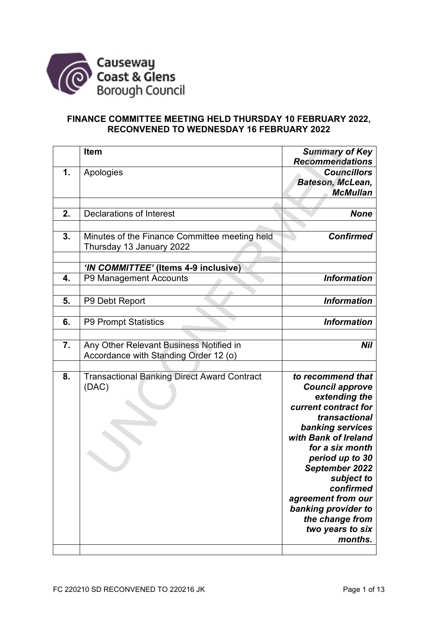

## **FINANCE COMMITTEE MEETING HELD THURSDAY 10 FEBRUARY 2022, RECONVENED TO WEDNESDAY 16 FEBRUARY 2022**

|    | <b>Item</b>                                                                      | <b>Summary of Key</b>                                                                                                                                                                                                                                                                                                               |
|----|----------------------------------------------------------------------------------|-------------------------------------------------------------------------------------------------------------------------------------------------------------------------------------------------------------------------------------------------------------------------------------------------------------------------------------|
| 1. | Apologies                                                                        | <b>Recommendations</b><br><b>Councillors</b><br>Bateson, McLean,<br><b>McMullan</b>                                                                                                                                                                                                                                                 |
|    |                                                                                  |                                                                                                                                                                                                                                                                                                                                     |
| 2. | Declarations of Interest                                                         | <b>None</b>                                                                                                                                                                                                                                                                                                                         |
|    |                                                                                  |                                                                                                                                                                                                                                                                                                                                     |
| 3. | Minutes of the Finance Committee meeting held<br>Thursday 13 January 2022        | <b>Confirmed</b>                                                                                                                                                                                                                                                                                                                    |
|    |                                                                                  |                                                                                                                                                                                                                                                                                                                                     |
|    | 'IN COMMITTEE' (Items 4-9 inclusive)                                             |                                                                                                                                                                                                                                                                                                                                     |
| 4. | P9 Management Accounts                                                           | <b>Information</b>                                                                                                                                                                                                                                                                                                                  |
|    |                                                                                  |                                                                                                                                                                                                                                                                                                                                     |
| 5. | P9 Debt Report                                                                   | <b>Information</b>                                                                                                                                                                                                                                                                                                                  |
|    |                                                                                  |                                                                                                                                                                                                                                                                                                                                     |
| 6. | P9 Prompt Statistics                                                             | <b>Information</b>                                                                                                                                                                                                                                                                                                                  |
|    |                                                                                  |                                                                                                                                                                                                                                                                                                                                     |
| 7. | Any Other Relevant Business Notified in<br>Accordance with Standing Order 12 (o) | Nil                                                                                                                                                                                                                                                                                                                                 |
|    |                                                                                  |                                                                                                                                                                                                                                                                                                                                     |
| 8. | <b>Transactional Banking Direct Award Contract</b><br>(DAC)                      | to recommend that<br><b>Council approve</b><br>extending the<br>current contract for<br>transactional<br>banking services<br>with Bank of Ireland<br>for a six month<br>period up to 30<br>September 2022<br>subject to<br>confirmed<br>agreement from our<br>banking provider to<br>the change from<br>two years to six<br>months. |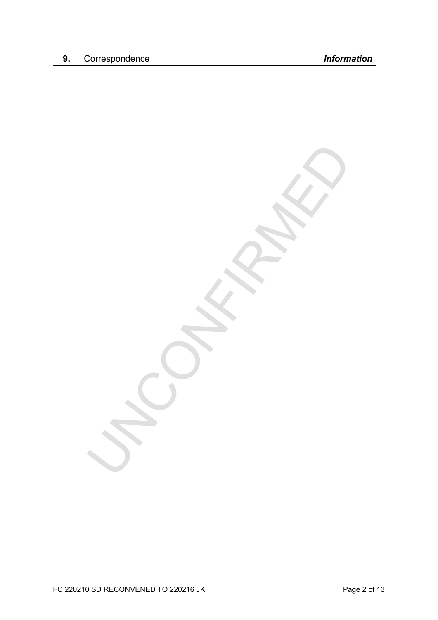| <u>. .</u> | :orrespondence | Information |
|------------|----------------|-------------|

UNCONFIRMED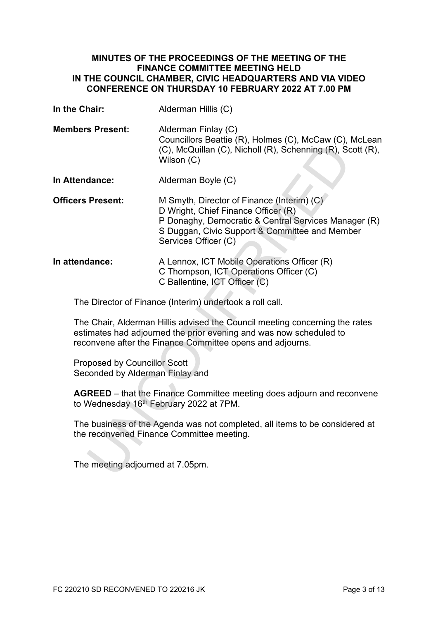### **MINUTES OF THE PROCEEDINGS OF THE MEETING OF THE FINANCE COMMITTEE MEETING HELD IN THE COUNCIL CHAMBER, CIVIC HEADQUARTERS AND VIA VIDEO CONFERENCE ON THURSDAY 10 FEBRUARY 2022 AT 7.00 PM**

| In the Chair:                                                                                                                                                                                                                                                                                                                              | Alderman Hillis (C)                                                                                                                                                                                                 |                                  |  |
|--------------------------------------------------------------------------------------------------------------------------------------------------------------------------------------------------------------------------------------------------------------------------------------------------------------------------------------------|---------------------------------------------------------------------------------------------------------------------------------------------------------------------------------------------------------------------|----------------------------------|--|
| <b>Members Present:</b>                                                                                                                                                                                                                                                                                                                    | Alderman Finlay (C)<br>Councillors Beattie (R), Holmes (C), McCaw (C), McLean<br>(C), McQuillan (C), Nicholl (R), Schenning (R), Scott (R),<br>Wilson (C)                                                           |                                  |  |
| In Attendance:                                                                                                                                                                                                                                                                                                                             | Alderman Boyle (C)                                                                                                                                                                                                  |                                  |  |
| <b>Officers Present:</b>                                                                                                                                                                                                                                                                                                                   | M Smyth, Director of Finance (Interim) (C)<br>D Wright, Chief Finance Officer (R)<br>P Donaghy, Democratic & Central Services Manager (R)<br>S Duggan, Civic Support & Committee and Member<br>Services Officer (C) |                                  |  |
| In attendance:                                                                                                                                                                                                                                                                                                                             | A Lennox, ICT Mobile Operations Officer (R)<br>C Thompson, ICT Operations Officer (C)<br>C Ballentine, ICT Officer (C)                                                                                              |                                  |  |
|                                                                                                                                                                                                                                                                                                                                            | The Director of Finance (Interim) undertook a roll call.                                                                                                                                                            |                                  |  |
|                                                                                                                                                                                                                                                                                                                                            | The Chair, Alderman Hillis advised the Council meeting concerning the rates<br>estimates had adjourned the prior evening and was now scheduled to<br>reconvene after the Finance Committee opens and adjourns.      |                                  |  |
| <b>Proposed by Councillor Scott</b><br>Seconded by Alderman Finlay and<br><b>AGREED</b> – that the Finance Committee meeting does adjourn and reconvene<br>to Wednesday 16 <sup>th</sup> February 2022 at 7PM.<br>The business of the Agenda was not completed, all items to be considered at<br>the reconvened Finance Committee meeting. |                                                                                                                                                                                                                     |                                  |  |
|                                                                                                                                                                                                                                                                                                                                            |                                                                                                                                                                                                                     | The meeting adjourned at 7.05pm. |  |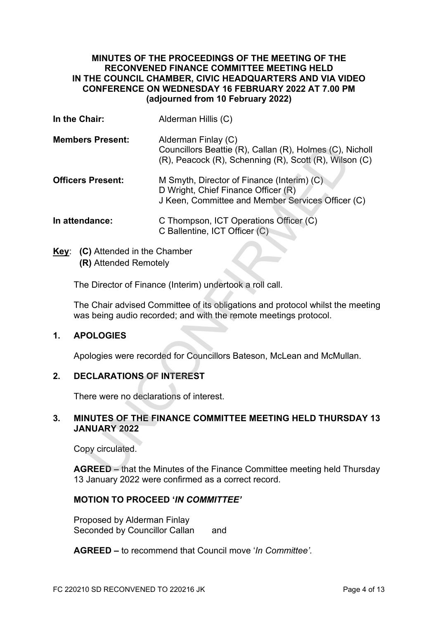### **MINUTES OF THE PROCEEDINGS OF THE MEETING OF THE RECONVENED FINANCE COMMITTEE MEETING HELD IN THE COUNCIL CHAMBER, CIVIC HEADQUARTERS AND VIA VIDEO CONFERENCE ON WEDNESDAY 16 FEBRUARY 2022 AT 7.00 PM (adjourned from 10 February 2022)**

| In the Chair:           |                                                           | Alderman Hillis (C)                                                                                                                               |  |  |  |
|-------------------------|-----------------------------------------------------------|---------------------------------------------------------------------------------------------------------------------------------------------------|--|--|--|
| <b>Members Present:</b> |                                                           | Alderman Finlay (C)<br>Councillors Beattie (R), Callan (R), Holmes (C), Nicholl<br>(R), Peacock (R), Schenning (R), Scott (R), Wilson (C)         |  |  |  |
|                         | <b>Officers Present:</b>                                  | M Smyth, Director of Finance (Interim) (C)<br>D Wright, Chief Finance Officer (R)<br>J Keen, Committee and Member Services Officer (C)            |  |  |  |
|                         | In attendance:                                            | C Thompson, ICT Operations Officer (C)<br>C Ballentine, ICT Officer (C)                                                                           |  |  |  |
|                         | Key: (C) Attended in the Chamber<br>(R) Attended Remotely |                                                                                                                                                   |  |  |  |
|                         |                                                           | The Director of Finance (Interim) undertook a roll call.                                                                                          |  |  |  |
|                         |                                                           | The Chair advised Committee of its obligations and protocol whilst the meetin<br>was being audio recorded; and with the remote meetings protocol. |  |  |  |
| 1.                      | <b>APOLOGIES</b>                                          |                                                                                                                                                   |  |  |  |
|                         |                                                           | Apologies were recorded for Councillors Bateson, McLean and McMullan.                                                                             |  |  |  |
| 2.                      | <b>DECLARATIONS OF INTEREST</b>                           |                                                                                                                                                   |  |  |  |
|                         | There were no declarations of interest.                   |                                                                                                                                                   |  |  |  |
| 3.                      | <b>JANUARY 2022</b>                                       | MINUTES OF THE FINANCE COMMITTEE MEETING HELD THURSDAY 1                                                                                          |  |  |  |
|                         | Copy circulated.                                          |                                                                                                                                                   |  |  |  |
|                         |                                                           | <b>AGREED</b> – that the Minutes of the Finance Committee meeting held Thursda                                                                    |  |  |  |

## **1. APOLOGIES**

## **2. DECLARATIONS OF INTEREST**

### **3. MINUTES OF THE FINANCE COMMITTEE MEETING HELD THURSDAY 13 JANUARY 2022**

**AGREED –** that the Minutes of the Finance Committee meeting held Thursday 13 January 2022 were confirmed as a correct record.

## **MOTION TO PROCEED '***IN COMMITTEE'*

Proposed by Alderman Finlay Seconded by Councillor Callan and

**AGREED –** to recommend that Council move '*In Committee'.*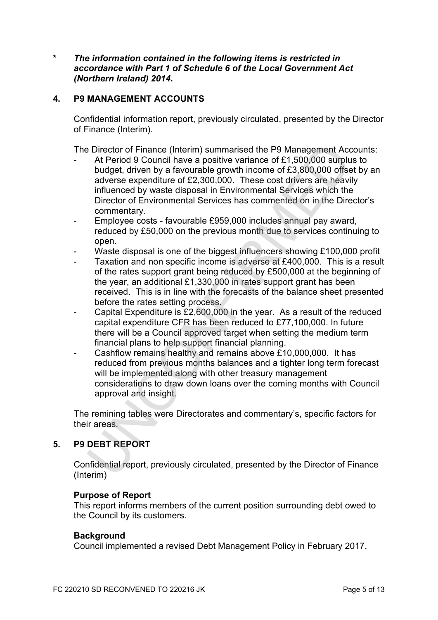**\*** *The information contained in the following items is restricted in accordance with Part 1 of Schedule 6 of the Local Government Act (Northern Ireland) 2014.* 

### **4. P9 MANAGEMENT ACCOUNTS**

Confidential information report, previously circulated, presented by the Director of Finance (Interim).

The Director of Finance (Interim) summarised the P9 Management Accounts:

- At Period 9 Council have a positive variance of £1,500,000 surplus to budget, driven by a favourable growth income of £3,800,000 offset by an adverse expenditure of £2,300,000. These cost drivers are heavily influenced by waste disposal in Environmental Services which the Director of Environmental Services has commented on in the Director's commentary. At Period 9 Council have a positive varianced the P9 Management Acc At Period 9 Council have a positive variance of £1,500,000 strip-<br>budget, driven by a favourable growth income of £3,800,000 offsel<br>adverse expenditure o
- Employee costs favourable £959,000 includes annual pay award, reduced by £50,000 on the previous month due to services continuing to open.
- Waste disposal is one of the biggest influencers showing £100,000 profit
- Taxation and non specific income is adverse at £400,000. This is a result of the rates support grant being reduced by £500,000 at the beginning of the year, an additional £1,330,000 in rates support grant has been received. This is in line with the forecasts of the balance sheet presented before the rates setting process.
- Capital Expenditure is £2,600,000 in the year. As a result of the reduced capital expenditure CFR has been reduced to £77,100,000. In future there will be a Council approved target when setting the medium term financial plans to help support financial planning.
- Cashflow remains healthy and remains above £10,000,000. It has reduced from previous months balances and a tighter long term forecast will be implemented along with other treasury management considerations to draw down loans over the coming months with Council approval and insight.

The remining tables were Directorates and commentary's, specific factors for their areas.

# **5. P9 DEBT REPORT**

Confidential report, previously circulated, presented by the Director of Finance (Interim)

### **Purpose of Report**

This report informs members of the current position surrounding debt owed to the Council by its customers.

#### **Background**

Council implemented a revised Debt Management Policy in February 2017.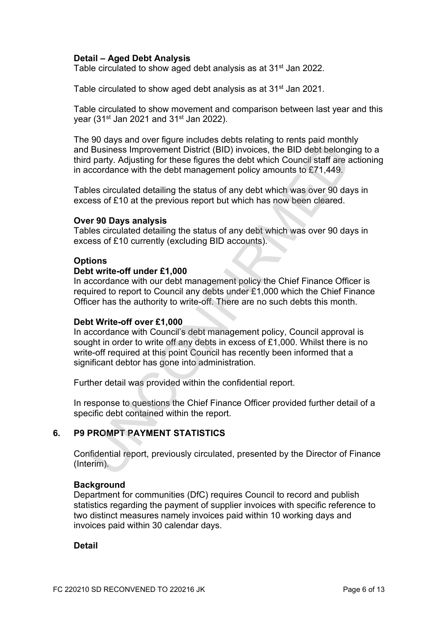## **Detail – Aged Debt Analysis**

Table circulated to show aged debt analysis as at 31<sup>st</sup> Jan 2022.

Table circulated to show aged debt analysis as at 31<sup>st</sup> Jan 2021.

Table circulated to show movement and comparison between last year and this year (31<sup>st</sup> Jan 2021 and 31<sup>st</sup> Jan 2022).

The 90 days and over figure includes debts relating to rents paid monthly and Business Improvement District (BID) invoices, the BID debt belonging to a third party. Adjusting for these figures the debt which Council staff are actioning in accordance with the debt management policy amounts to £71,449.

Tables circulated detailing the status of any debt which was over 90 days in excess of £10 at the previous report but which has now been cleared.

### **Over 90 Days analysis**

Tables circulated detailing the status of any debt which was over 90 days in excess of £10 currently (excluding BID accounts).

### **Options**

### **Debt write-off under £1,000**

In accordance with our debt management policy the Chief Finance Officer is required to report to Council any debts under £1,000 which the Chief Finance Officer has the authority to write-off. There are no such debts this month.

### **Debt Write-off over £1,000**

In accordance with Council's debt management policy, Council approval is sought in order to write off any debts in excess of £1,000. Whilst there is no write-off required at this point Council has recently been informed that a significant debtor has gone into administration. If Business improvement District (BID) involces, the BID debt belong<br>Business improvement District (BID) involces, the BID debt belong<br>departs. Adjusting for these figures the debt which Council starf are<br>cocordance with t

Further detail was provided within the confidential report.

In response to questions the Chief Finance Officer provided further detail of a specific debt contained within the report.

## **6. P9 PROMPT PAYMENT STATISTICS**

Confidential report, previously circulated, presented by the Director of Finance (Interim).

### **Background**

Department for communities (DfC) requires Council to record and publish statistics regarding the payment of supplier invoices with specific reference to two distinct measures namely invoices paid within 10 working days and invoices paid within 30 calendar days.

**Detail**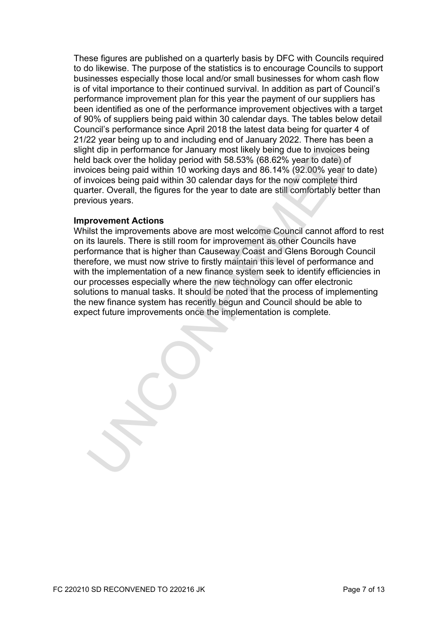These figures are published on a quarterly basis by DFC with Councils required to do likewise. The purpose of the statistics is to encourage Councils to support businesses especially those local and/or small businesses for whom cash flow is of vital importance to their continued survival. In addition as part of Council's performance improvement plan for this year the payment of our suppliers has been identified as one of the performance improvement objectives with a target of 90% of suppliers being paid within 30 calendar days. The tables below detail Council's performance since April 2018 the latest data being for quarter 4 of 21/22 year being up to and including end of January 2022. There has been a slight dip in performance for January most likely being due to invoices being held back over the holiday period with 58.53% (68.62% year to date) of invoices being paid within 10 working days and 86.14% (92.00% year to date) of invoices being paid within 30 calendar days for the now complete third quarter. Overall, the figures for the year to date are still comfortably better than previous years.

### **Improvement Actions**

Whilst the improvements above are most welcome Council cannot afford to rest on its laurels. There is still room for improvement as other Councils have performance that is higher than Causeway Coast and Glens Borough Council therefore, we must now strive to firstly maintain this level of performance and with the implementation of a new finance system seek to identify efficiencies in our processes especially where the new technology can offer electronic solutions to manual tasks. It should be noted that the process of implementing the new finance system has recently begun and Council should be able to expect future improvements once the implementation is complete. In the method of the hold of the method of the method of the same that the method of the back over the hold of the bioles bioles being paid within 10 working days and 86.14% (92.00% year to date) of bioles bioles being pai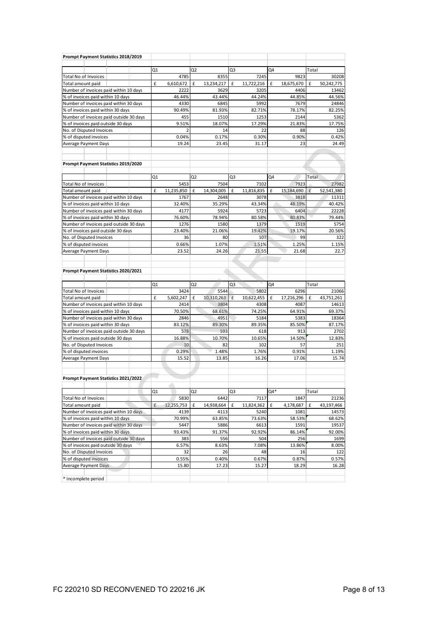| Prompt Payment Statistics 2018/2019     |                 |                |                 |            |                 |                 |
|-----------------------------------------|-----------------|----------------|-----------------|------------|-----------------|-----------------|
|                                         |                 |                |                 |            |                 |                 |
|                                         | Q1              | Q2             | Q3              |            | Q4              | Total           |
| Total No of Invoices                    | 4785            |                | 8355            | 7245       | 9823            | 30208           |
| Total amount paid                       | £<br>6,610,672  | £              | 13,234,217<br>£ | 11,722,216 | 18,675,670<br>£ | 50,242,775<br>£ |
| Number of invoices paid within 10 days  | 2222            |                | 3629            | 3205       | 4406            | 13462           |
| % of invoices paid within 10 days       | 46.44%          |                | 43.44%          | 44.24%     | 44.85%          | 44.56%          |
| Number of invoices paid within 30 days  | 4330            |                | 6845            | 5992       | 7679            | 24846           |
| % of invoices paid within 30 days       | 90.49%          |                | 81.93%          | 82.71%     | 78.17%          | 82.25%          |
| Number of invoices paid outside 30 days | 455             |                | 1510            | 1253       | 2144            | 5362            |
| % of invoices paid outside 30 days      | 9.51%           |                | 18.07%          | 17.29%     | 21.83%          | 17.75%          |
| No. of Disputed Invoices                |                 | $\overline{2}$ | 14              | 22         | 88              | 126             |
| % of disputed invoices                  | 0.04%           |                | 0.17%           | 0.30%      | 0.90%           | 0.42%           |
| Average Payment Days                    | 19.24           |                | 23.45           | 31.17      | 23              | 24.49           |
|                                         |                 |                |                 |            |                 |                 |
|                                         |                 |                |                 |            |                 |                 |
| Prompt Payment Statistics 2019/2020     |                 |                |                 |            |                 |                 |
|                                         |                 |                |                 |            |                 |                 |
|                                         | Q1              | Q <sub>2</sub> | Q3              |            | Q4              | Total           |
| <b>Total No of Invoices</b>             | 5453            |                | 7504            | 7102       | 7923            | 27982           |
| Total amount paid                       | £<br>11,235,850 | £              | 14,304,005<br>£ | 11,816,835 | 15,184,690<br>£ | £<br>52,541,380 |
| Number of invoices paid within 10 days  | 1767            |                | 2648            | 3078       | 3818            | 11311           |
| % of invoices paid within 10 days       | 32.40%          |                | 35.29%          | 43.34%     | 48.19%          | 40.42%          |
| Number of invoices paid within 30 days  | 4177            |                | 5924            | 5723       | 6404            | 22228           |
| % of invoices paid within 30 days       | 76.60%          |                | 78.94%          | 80.58%     | 80.83%          | 79.44%          |
| Number of invoices paid outside 30 days | 1276            |                | 1580            | 1379       | 1519            | 5754            |
| % of invoices paid outside 30 days      | 23.40%          |                | 21.06%          | 19.42%     | 19.17%          | 20.56%          |
| No. of Disputed Invoices                | 36              |                | 80              | 107        | 99              | 322             |
| % of disputed invoices                  | 0.66%           |                | 1.07%           | 1.51%      | 1.25%           | 1.15%           |
| Average Payment Days                    | 23.52           |                | 24.26           | 21.55      | 21.68           | 22.7            |
|                                         |                 |                |                 |            |                 |                 |
| Prompt Payment Statistics 2020/2021     |                 |                |                 |            |                 |                 |
|                                         | Q1              | Q <sub>2</sub> | Q3              |            | Q4              | Total           |
| Total No of Invoices                    | 3424            |                | 5544            | 5802       | 6296            | 21066           |
| Total amount paid                       | £<br>5,602,247  | £              | 10,310,263<br>£ | 10,622,455 | 17,216,296<br>£ | 43,751,261<br>£ |
| Number of invoices paid within 10 days  | 2414            |                | 3804            | 4308       | 4087            | 14613           |
| % of invoices paid within 10 days       | 70.50%          |                | 68.61%          | 74.25%     | 64.91%          | 69.37%          |
| Number of invoices paid within 30 days  | 2846            |                | 4951            | 5184       | 5383            | 18364           |
| % of invoices paid within 30 days       | 83.12%          |                | 89.30%          | 89.35%     | 85.50%          | 87.17%          |
| Number of invoices paid outside 30 days | 578             |                | 593             | 618        | 913             | 2702            |
| % of invoices paid outside 30 days      | 16.88%          |                | 10.70%          | 10.65%     | 14.50%          | 12.83%          |
| No. of Disputed Invoices                | 10              |                | 82              | 102        | 57              | 251             |
| % of disputed invoices                  | 0.29%           |                | 1.48%           | 1.76%      | 0.91%           | 1.19%           |
| Average Payment Days                    | 15.52           |                | 13.85           | 16.26      | 17.06           | 15.74           |
|                                         |                 |                |                 |            |                 |                 |
|                                         |                 |                |                 |            |                 |                 |
| Prompt Payment Statistics 2021/2022     |                 |                |                 |            |                 |                 |
|                                         |                 |                |                 |            |                 |                 |
|                                         | Q1              | Q <sub>2</sub> | Q3              |            | Q4*             | Total           |
| Total No of Invoices                    | 5830            |                | 6442            | 7117       | 1847            | 21236           |
| Total amount paid                       | £<br>12,255,753 | £              | 14,938,664<br>£ | 11,824,362 | £<br>4,178,687  | 43,197,466<br>£ |
| Number of invoices paid within 10 days  | 4139            |                | 4113            | 5240       | 1081            | 14573           |
| % of invoices paid within 10 days       | 70.99%          |                | 63.85%          | 73.63%     | 58.53%          | 68.62%          |
|                                         |                 |                |                 |            |                 | 19537           |
| Number of invoices paid within 30 days  | 5447            |                | 5886            | 6613       | 1591            |                 |
| % of invoices paid within 30 days       | 93.43%          |                | 91.37%          | 92.92%     | 86.14%          | 92.00%          |
| Number of invoices paid outside 30 days | 383             |                | 556             | 504        | 256             | 1699            |
| % of invoices paid outside 30 days      | 6.57%           |                | 8.63%           | 7.08%      | 13.86%          | 8.00%           |
| No. of Disputed Invoices                | 32              |                | 26              | 48         | 16              | 122             |
| % of disputed invoices                  | 0.55%           |                | 0.40%           | 0.67%      | 0.87%           | 0.57%           |
| Average Payment Days                    | 15.80           |                | 17.23           | 15.27      | 18.29           | 16.28           |
| * Incomplete period                     |                 |                |                 |            |                 |                 |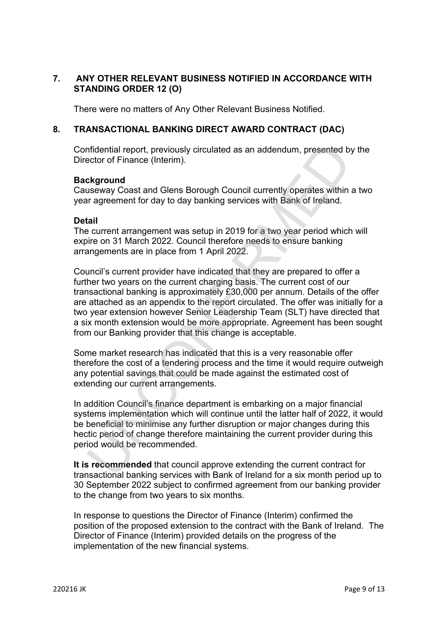# **7. ANY OTHER RELEVANT BUSINESS NOTIFIED IN ACCORDANCE WITH STANDING ORDER 12 (O)**

There were no matters of Any Other Relevant Business Notified.

### **8. TRANSACTIONAL BANKING DIRECT AWARD CONTRACT (DAC)**

Confidential report, previously circulated as an addendum, presented by the Director of Finance (Interim).

### **Background**

Causeway Coast and Glens Borough Council currently operates within a two year agreement for day to day banking services with Bank of Ireland.

### **Detail**

The current arrangement was setup in 2019 for a two year period which will expire on 31 March 2022. Council therefore needs to ensure banking arrangements are in place from 1 April 2022.

Council's current provider have indicated that they are prepared to offer a further two years on the current charging basis. The current cost of our transactional banking is approximately £30,000 per annum. Details of the offer are attached as an appendix to the report circulated. The offer was initially for a two year extension however Senior Leadership Team (SLT) have directed that a six month extension would be more appropriate. Agreement has been sought from our Banking provider that this change is acceptable. nfidential report, previously circulated as an addendum, presented b<br>cclor of Finance (Interim).<br>
Extravay Coast and Glens Borough Council currently operates within<br>
a ragreement for day to day banking services with Bank o

Some market research has indicated that this is a very reasonable offer therefore the cost of a tendering process and the time it would require outweigh any potential savings that could be made against the estimated cost of extending our current arrangements.

In addition Council's finance department is embarking on a major financial systems implementation which will continue until the latter half of 2022, it would be beneficial to minimise any further disruption or major changes during this hectic period of change therefore maintaining the current provider during this period would be recommended.

**It is recommended** that council approve extending the current contract for transactional banking services with Bank of Ireland for a six month period up to 30 September 2022 subject to confirmed agreement from our banking provider to the change from two years to six months.

In response to questions the Director of Finance (Interim) confirmed the position of the proposed extension to the contract with the Bank of Ireland. The Director of Finance (Interim) provided details on the progress of the implementation of the new financial systems.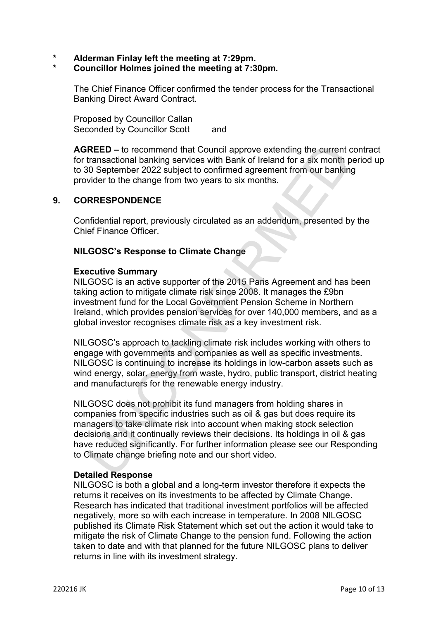- **\* Alderman Finlay left the meeting at 7:29pm.**
- **\* Councillor Holmes joined the meeting at 7:30pm.**

The Chief Finance Officer confirmed the tender process for the Transactional Banking Direct Award Contract.

Proposed by Councillor Callan Seconded by Councillor Scott and

**AGREED –** to recommend that Council approve extending the current contract for transactional banking services with Bank of Ireland for a six month period up to 30 September 2022 subject to confirmed agreement from our banking provider to the change from two years to six months.

### **9. CORRESPONDENCE**

Confidential report, previously circulated as an addendum, presented by the Chief Finance Officer.

### **NILGOSC's Response to Climate Change**

#### **Executive Summary**

NILGOSC is an active supporter of the 2015 Paris Agreement and has been taking action to mitigate climate risk since 2008. It manages the £9bn investment fund for the Local Government Pension Scheme in Northern Ireland, which provides pension services for over 140,000 members, and as a global investor recognises climate risk as a key investment risk.

NILGOSC's approach to tackling climate risk includes working with others to engage with governments and companies as well as specific investments. NILGOSC is continuing to increase its holdings in low-carbon assets such as wind energy, solar, energy from waste, hydro, public transport, district heating and manufacturers for the renewable energy industry.

NILGOSC does not prohibit its fund managers from holding shares in companies from specific industries such as oil & gas but does require its managers to take climate risk into account when making stock selection decisions and it continually reviews their decisions. Its holdings in oil & gas have reduced significantly. For further information please see our Responding to Climate change briefing note and our short video. REED – to recommend that Council approve extending the current comparational banking services with Bank of Ireland for a six months and input solicy supplect to confirmed agreement from our bankin by vider to the change fr

### **Detailed Response**

NILGOSC is both a global and a long-term investor therefore it expects the returns it receives on its investments to be affected by Climate Change. Research has indicated that traditional investment portfolios will be affected negatively, more so with each increase in temperature. In 2008 NILGOSC published its Climate Risk Statement which set out the action it would take to mitigate the risk of Climate Change to the pension fund. Following the action taken to date and with that planned for the future NILGOSC plans to deliver returns in line with its investment strategy.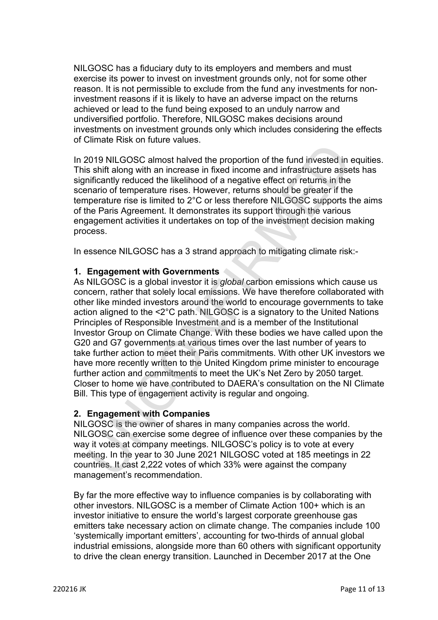NILGOSC has a fiduciary duty to its employers and members and must exercise its power to invest on investment grounds only, not for some other reason. It is not permissible to exclude from the fund any investments for noninvestment reasons if it is likely to have an adverse impact on the returns achieved or lead to the fund being exposed to an unduly narrow and undiversified portfolio. Therefore, NILGOSC makes decisions around investments on investment grounds only which includes considering the effects of Climate Risk on future values.

In 2019 NILGOSC almost halved the proportion of the fund invested in equities. This shift along with an increase in fixed income and infrastructure assets has significantly reduced the likelihood of a negative effect on returns in the scenario of temperature rises. However, returns should be greater if the temperature rise is limited to 2°C or less therefore NILGOSC supports the aims of the Paris Agreement. It demonstrates its support through the various engagement activities it undertakes on top of the investment decision making process.

In essence NILGOSC has a 3 strand approach to mitigating climate risk:-

## **1. Engagement with Governments**

As NILGOSC is a global investor it is *global* carbon emissions which cause us concern, rather that solely local emissions. We have therefore collaborated with other like minded investors around the world to encourage governments to take action aligned to the <2°C path. NILGOSC is a signatory to the United Nations Principles of Responsible Investment and is a member of the Institutional Investor Group on Climate Change. With these bodies we have called upon the G20 and G7 governments at various times over the last number of years to take further action to meet their Paris commitments. With other UK investors we have more recently written to the United Kingdom prime minister to encourage further action and commitments to meet the UK's Net Zero by 2050 target. Closer to home we have contributed to DAERA's consultation on the NI Climate Bill. This type of engagement activity is regular and ongoing. 2019 NILGOSC almost have the proportion of the fund invested in<br>2019 NILGOSC almost haved the proportion of the fund invested in<br>s shift along with an increase in fixed income and infrastructure asse<br>inficantly reduced th

## **2. Engagement with Companies**

NILGOSC is the owner of shares in many companies across the world. NILGOSC can exercise some degree of influence over these companies by the way it votes at company meetings. NILGOSC's policy is to vote at every meeting. In the year to 30 June 2021 NILGOSC voted at 185 meetings in 22 countries. It cast 2,222 votes of which 33% were against the company management's recommendation.

By far the more effective way to influence companies is by collaborating with other investors. NILGOSC is a member of Climate Action 100+ which is an investor initiative to ensure the world's largest corporate greenhouse gas emitters take necessary action on climate change. The companies include 100 'systemically important emitters', accounting for two-thirds of annual global industrial emissions, alongside more than 60 others with significant opportunity to drive the clean energy transition. Launched in December 2017 at the One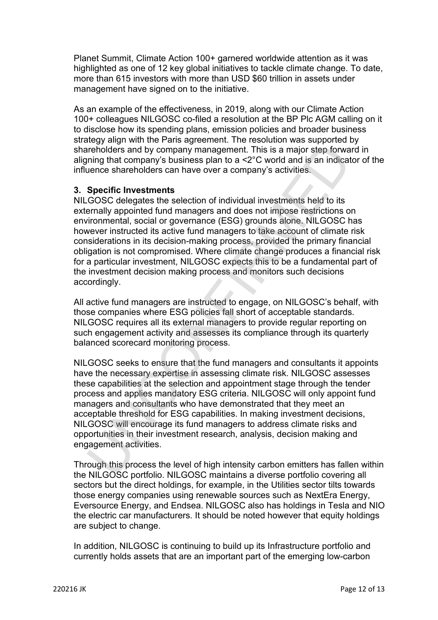Planet Summit, Climate Action 100+ garnered worldwide attention as it was highlighted as one of 12 key global initiatives to tackle climate change. To date, more than 615 investors with more than USD \$60 trillion in assets under management have signed on to the initiative.

As an example of the effectiveness, in 2019, along with our Climate Action 100+ colleagues NILGOSC co-filed a resolution at the BP Plc AGM calling on it to disclose how its spending plans, emission policies and broader business strategy align with the Paris agreement. The resolution was supported by shareholders and by company management. This is a major step forward in aligning that company's business plan to a <2°C world and is an indicator of the influence shareholders can have over a company's activities.

## **3. Specific Investments**

NILGOSC delegates the selection of individual investments held to its externally appointed fund managers and does not impose restrictions on environmental, social or governance (ESG) grounds alone. NILGOSC has however instructed its active fund managers to take account of climate risk considerations in its decision-making process, provided the primary financial obligation is not compromised. Where climate change produces a financial risk for a particular investment, NILGOSC expects this to be a fundamental part of the investment decision making process and monitors such decisions accordingly. The Mate company management. This is a major step forware<br>the biders and by company management. This is a major step forware<br>nenoders and by company susiness plan to a <2°C world and is an indiced<br>arence shareholders can h

All active fund managers are instructed to engage, on NILGOSC's behalf, with those companies where ESG policies fall short of acceptable standards. NILGOSC requires all its external managers to provide regular reporting on such engagement activity and assesses its compliance through its quarterly balanced scorecard monitoring process.

NILGOSC seeks to ensure that the fund managers and consultants it appoints have the necessary expertise in assessing climate risk. NILGOSC assesses these capabilities at the selection and appointment stage through the tender process and applies mandatory ESG criteria. NILGOSC will only appoint fund managers and consultants who have demonstrated that they meet an acceptable threshold for ESG capabilities. In making investment decisions, NILGOSC will encourage its fund managers to address climate risks and opportunities in their investment research, analysis, decision making and engagement activities.

Through this process the level of high intensity carbon emitters has fallen within the NILGOSC portfolio. NILGOSC maintains a diverse portfolio covering all sectors but the direct holdings, for example, in the Utilities sector tilts towards those energy companies using renewable sources such as NextEra Energy, Eversource Energy, and Endsea. NILGOSC also has holdings in Tesla and NIO the electric car manufacturers. It should be noted however that equity holdings are subject to change.

In addition, NILGOSC is continuing to build up its Infrastructure portfolio and currently holds assets that are an important part of the emerging low-carbon